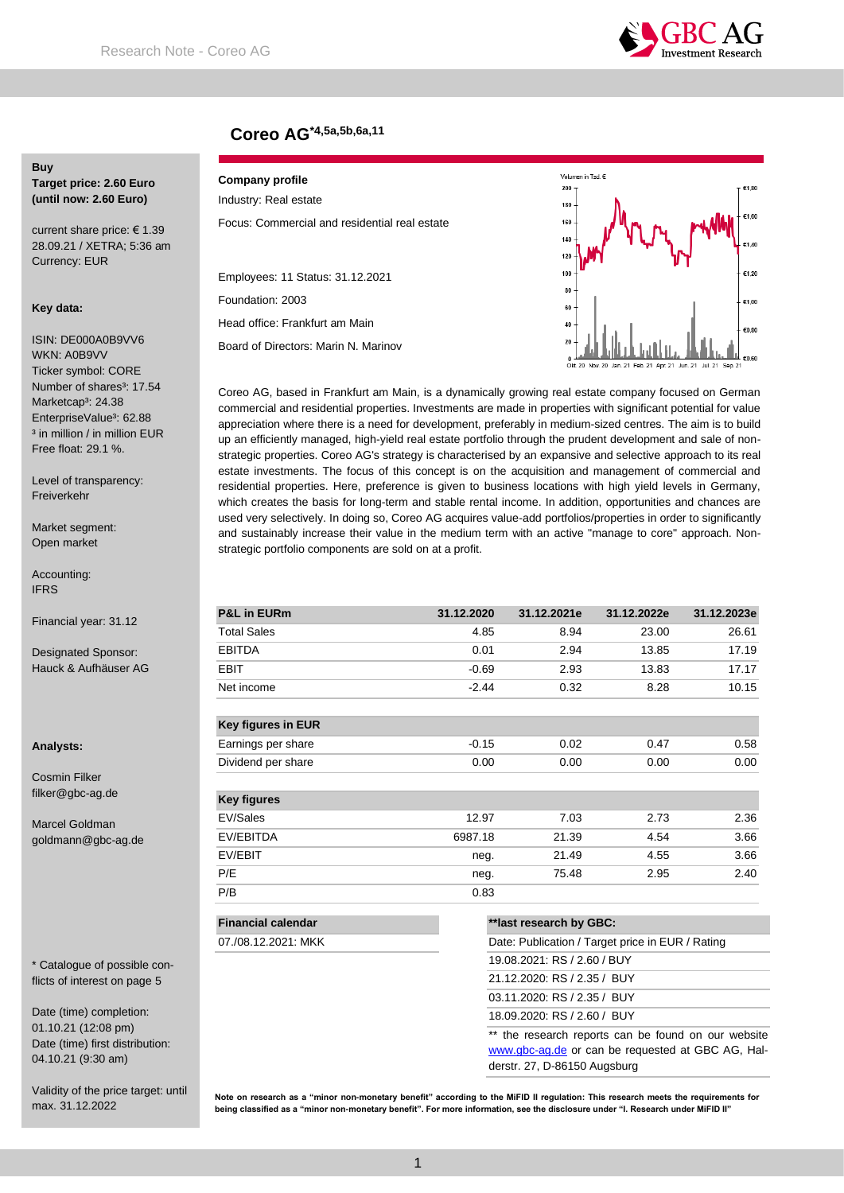

# **Coreo AG\*4,5a,5b,6a,11**

# **Buy**

**Target price: 2.60 Euro (until now: 2.60 Euro)**

current share price: € 1.39 28.09.21 / XETRA; 5:36 am Currency: EUR

#### **Key data:**

ISIN: DE000A0B9VV6 WKN: A0B9VV Ticker symbol: CORE Number of shares<sup>3</sup>: 17.54 Marketcap<sup>3</sup>: 24.38 EnterpriseValue<sup>3</sup>: 62.88 <sup>3</sup> in million / in million EUR Free float: 29.1 %.

Level of transparency: Freiverkehr

Market segment: Open market

Accounting: IFRS

Financial year: 31.12

Designated Sponsor: Hauck & Aufhäuser AG

#### **Analysts:**

Cosmin Filker filker@gbc-ag.de

Marcel Goldman goldmann@gbc-ag.de

\* Catalogue of possible conflicts of interest on page 5

Date (time) completion: 01.10.21 (12:08 pm) Date (time) first distribution: 04.10.21 (9:30 am)

Validity of the price target: until max. 31.12.2022

#### **Company profile** Industry: Real estate

Focus: Commercial and residential real estate

Employees: 11 Status: 31.12.2021 Foundation: 2003

Head office: Frankfurt am Main

07./08.12.2021: MKK

Board of Directors: Marin N. Marinov



Coreo AG, based in Frankfurt am Main, is a dynamically growing real estate company focused on German commercial and residential properties. Investments are made in properties with significant potential for value appreciation where there is a need for development, preferably in medium-sized centres. The aim is to build up an efficiently managed, high-yield real estate portfolio through the prudent development and sale of nonstrategic properties. Coreo AG's strategy is characterised by an expansive and selective approach to its real estate investments. The focus of this concept is on the acquisition and management of commercial and residential properties. Here, preference is given to business locations with high yield levels in Germany, which creates the basis for long-term and stable rental income. In addition, opportunities and chances are used very selectively. In doing so, Coreo AG acquires value-add portfolios/properties in order to significantly and sustainably increase their value in the medium term with an active "manage to core" approach. Nonstrategic portfolio components are sold on at a profit.

| <b>P&amp;L in EURm</b>    | 31.12.2020 | 31.12.2021e             | 31.12.2022e | 31.12.2023e |
|---------------------------|------------|-------------------------|-------------|-------------|
| <b>Total Sales</b>        | 4.85       | 8.94                    | 23.00       | 26.61       |
| <b>EBITDA</b>             | 0.01       | 2.94                    | 13.85       | 17.19       |
| EBIT                      | $-0.69$    | 2.93                    | 13.83       | 17.17       |
| Net income                | $-2.44$    | 0.32                    | 8.28        | 10.15       |
| Key figures in EUR        |            |                         |             |             |
| Earnings per share        | $-0.15$    | 0.02                    | 0.47        | 0.58        |
| Dividend per share        | 0.00       | 0.00                    | 0.00        | 0.00        |
| <b>Key figures</b>        |            |                         |             |             |
| EV/Sales                  | 12.97      | 7.03                    | 2.73        | 2.36        |
| EV/EBITDA                 | 6987.18    | 21.39                   | 4.54        | 3.66        |
| EV/EBIT                   | neg.       | 21.49                   | 4.55        | 3.66        |
| P/E                       | neg.       | 75.48                   | 2.95        | 2.40        |
| P/B                       | 0.83       |                         |             |             |
| <b>Financial calendar</b> |            | **last research by GBC: |             |             |

| Date: Publication / Target price in EUR / Rating |
|--------------------------------------------------|
| 19.08.2021: RS / 2.60 / BUY                      |
| 21.12.2020: RS / 2.35 / BUY                      |
| 03.11.2020: RS / 2.35 / BUY                      |
| 18.09.2020: RS / 2.60 / BUY                      |

\*\* the research reports can be found on our website [www.gbc-ag.de](http://www.gbc-ag.de/) or can be requested at GBC AG, Halderstr. 27, D-86150 Augsburg

**Note on research as a "minor non-monetary benefit" according to the MiFID II regulation: This research meets the requirements for being classified as a "minor non-monetary benefit". For more information, see the disclosure under "I. Research under MiFID II"**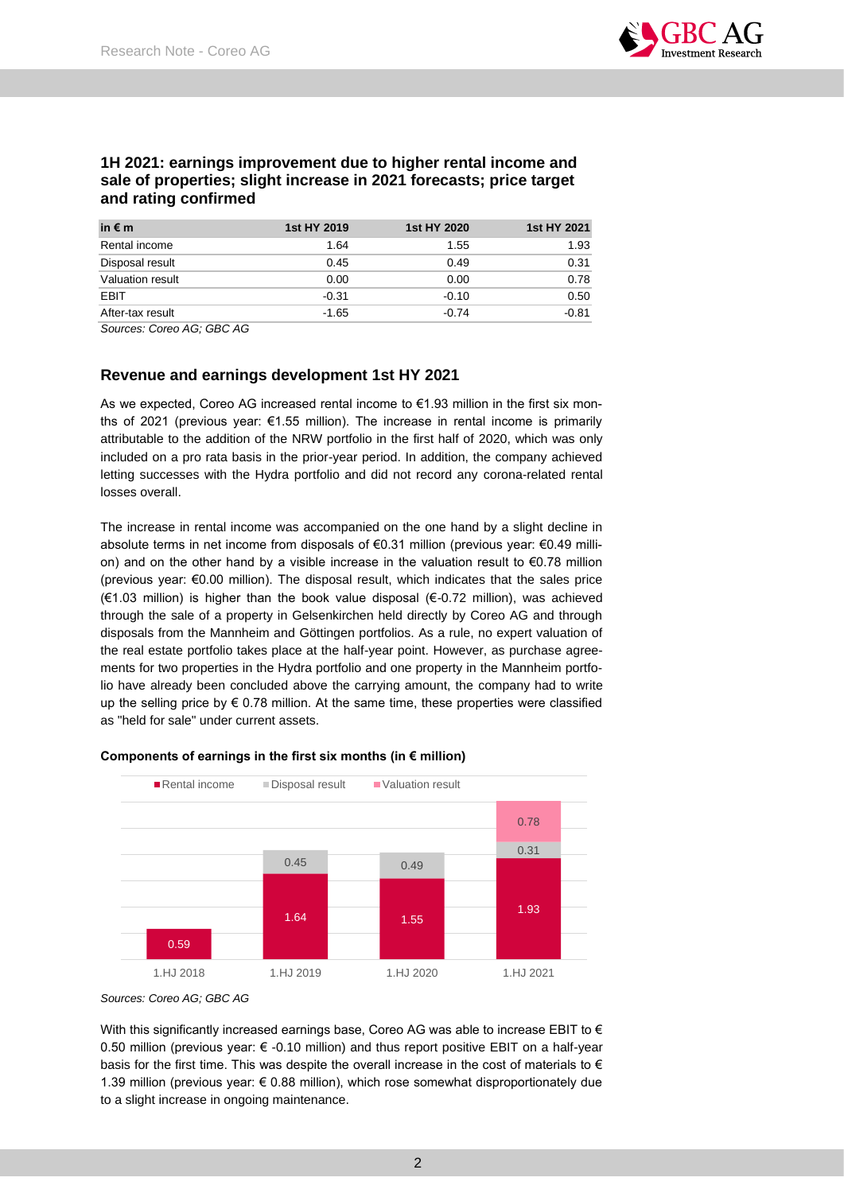

## **1H 2021: earnings improvement due to higher rental income and sale of properties; slight increase in 2021 forecasts; price target and rating confirmed**

| in $\epsilon$ m  | 1st HY 2019 | 1st HY 2020 | 1st HY 2021 |
|------------------|-------------|-------------|-------------|
| Rental income    | 1.64        | 1.55        | 1.93        |
| Disposal result  | 0.45        | 0.49        | 0.31        |
| Valuation result | 0.00        | 0.00        | 0.78        |
| EBIT             | $-0.31$     | $-0.10$     | 0.50        |
| After-tax result | $-1.65$     | $-0.74$     | $-0.81$     |

*Sources: Coreo AG; GBC AG*

## **Revenue and earnings development 1st HY 2021**

As we expected, Coreo AG increased rental income to €1.93 million in the first six months of 2021 (previous year:  $\epsilon$ 1.55 million). The increase in rental income is primarily attributable to the addition of the NRW portfolio in the first half of 2020, which was only included on a pro rata basis in the prior-year period. In addition, the company achieved letting successes with the Hydra portfolio and did not record any corona-related rental losses overall.

The increase in rental income was accompanied on the one hand by a slight decline in absolute terms in net income from disposals of €0.31 million (previous year: €0.49 million) and on the other hand by a visible increase in the valuation result to €0.78 million (previous year: €0.00 million). The disposal result, which indicates that the sales price (€1.03 million) is higher than the book value disposal (€-0.72 million), was achieved through the sale of a property in Gelsenkirchen held directly by Coreo AG and through disposals from the Mannheim and Göttingen portfolios. As a rule, no expert valuation of the real estate portfolio takes place at the half-year point. However, as purchase agreements for two properties in the Hydra portfolio and one property in the Mannheim portfolio have already been concluded above the carrying amount, the company had to write up the selling price by  $\epsilon$  0.78 million. At the same time, these properties were classified as "held for sale" under current assets.



#### **Components of earnings in the first six months (in € million)**

With this significantly increased earnings base, Coreo AG was able to increase EBIT to  $\epsilon$ 0.50 million (previous year:  $\epsilon$  -0.10 million) and thus report positive EBIT on a half-year basis for the first time. This was despite the overall increase in the cost of materials to  $\epsilon$ 1.39 million (previous year:  $\epsilon$  0.88 million), which rose somewhat disproportionately due to a slight increase in ongoing maintenance.

*Sources: Coreo AG; GBC AG*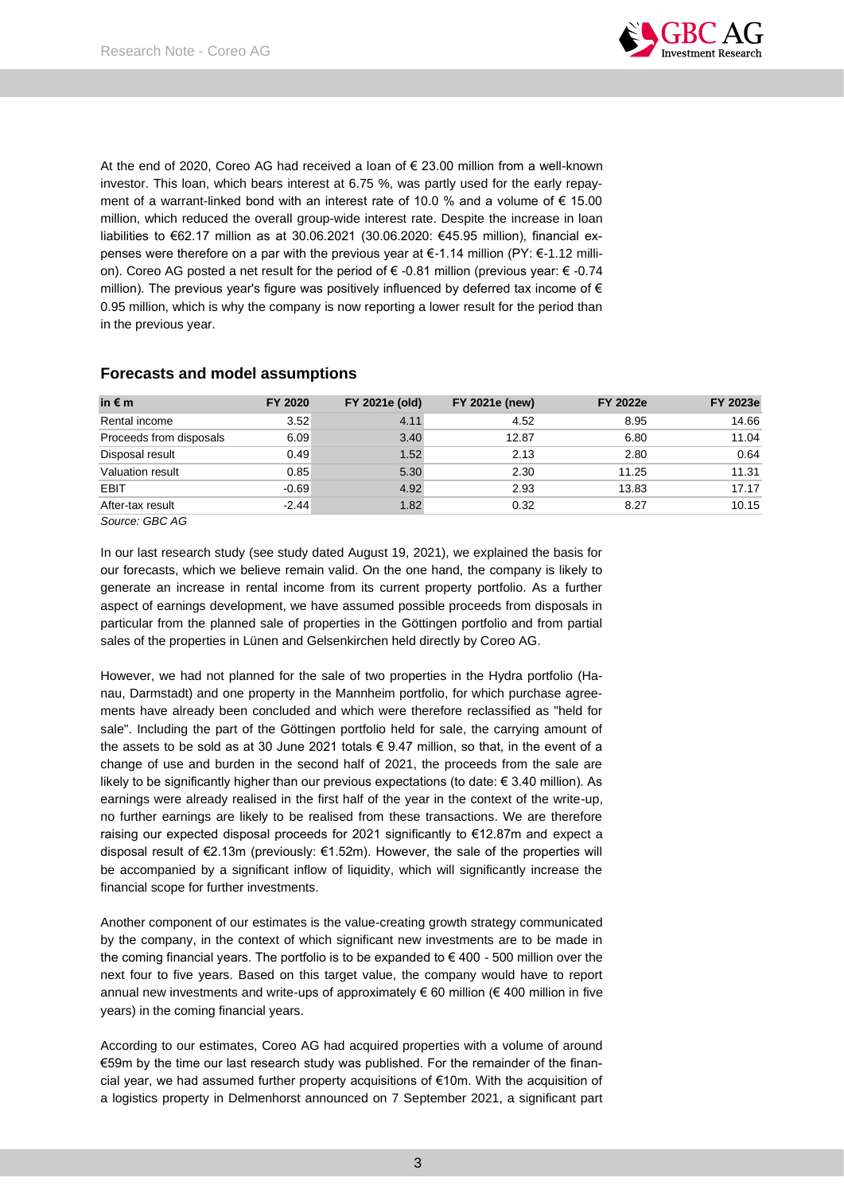

At the end of 2020, Coreo AG had received a loan of € 23.00 million from a well-known investor. This loan, which bears interest at 6.75 %, was partly used for the early repayment of a warrant-linked bond with an interest rate of 10.0 % and a volume of € 15.00 million, which reduced the overall group-wide interest rate. Despite the increase in loan liabilities to €62.17 million as at 30.06.2021 (30.06.2020: €45.95 million), financial expenses were therefore on a par with the previous year at €-1.14 million (PY: €-1.12 million). Coreo AG posted a net result for the period of € -0.81 million (previous year: € -0.74 million). The previous year's figure was positively influenced by deferred tax income of  $\epsilon$ 0.95 million, which is why the company is now reporting a lower result for the period than in the previous year.

## **Forecasts and model assumptions**

| in $\notin$ m           | FY 2020 | FY 2021e (old) | <b>FY 2021e (new)</b> | <b>FY 2022e</b> | <b>FY 2023e</b> |
|-------------------------|---------|----------------|-----------------------|-----------------|-----------------|
| Rental income           | 3.52    | 4.11           | 4.52                  | 8.95            | 14.66           |
| Proceeds from disposals | 6.09    | 3.40           | 12.87                 | 6.80            | 11.04           |
| Disposal result         | 0.49    | 1.52           | 2.13                  | 2.80            | 0.64            |
| Valuation result        | 0.85    | 5.30           | 2.30                  | 11.25           | 11.31           |
| EBIT                    | $-0.69$ | 4.92           | 2.93                  | 13.83           | 17.17           |
| After-tax result        | $-2.44$ | 1.82           | 0.32                  | 8.27            | 10.15           |

*Source: GBC AG*

In our last research study (see study dated August 19, 2021), we explained the basis for our forecasts, which we believe remain valid. On the one hand, the company is likely to generate an increase in rental income from its current property portfolio. As a further aspect of earnings development, we have assumed possible proceeds from disposals in particular from the planned sale of properties in the Göttingen portfolio and from partial sales of the properties in Lünen and Gelsenkirchen held directly by Coreo AG.

However, we had not planned for the sale of two properties in the Hydra portfolio (Hanau, Darmstadt) and one property in the Mannheim portfolio, for which purchase agreements have already been concluded and which were therefore reclassified as "held for sale". Including the part of the Göttingen portfolio held for sale, the carrying amount of the assets to be sold as at 30 June 2021 totals € 9.47 million, so that, in the event of a change of use and burden in the second half of 2021, the proceeds from the sale are likely to be significantly higher than our previous expectations (to date: € 3.40 million). As earnings were already realised in the first half of the year in the context of the write-up, no further earnings are likely to be realised from these transactions. We are therefore raising our expected disposal proceeds for 2021 significantly to €12.87m and expect a disposal result of €2.13m (previously: €1.52m). However, the sale of the properties will be accompanied by a significant inflow of liquidity, which will significantly increase the financial scope for further investments.

Another component of our estimates is the value-creating growth strategy communicated by the company, in the context of which significant new investments are to be made in the coming financial years. The portfolio is to be expanded to  $\epsilon$  400 - 500 million over the next four to five years. Based on this target value, the company would have to report annual new investments and write-ups of approximately  $\epsilon$  60 million ( $\epsilon$  400 million in five years) in the coming financial years.

According to our estimates, Coreo AG had acquired properties with a volume of around €59m by the time our last research study was published. For the remainder of the financial year, we had assumed further property acquisitions of €10m. With the acquisition of a logistics property in Delmenhorst announced on 7 September 2021, a significant part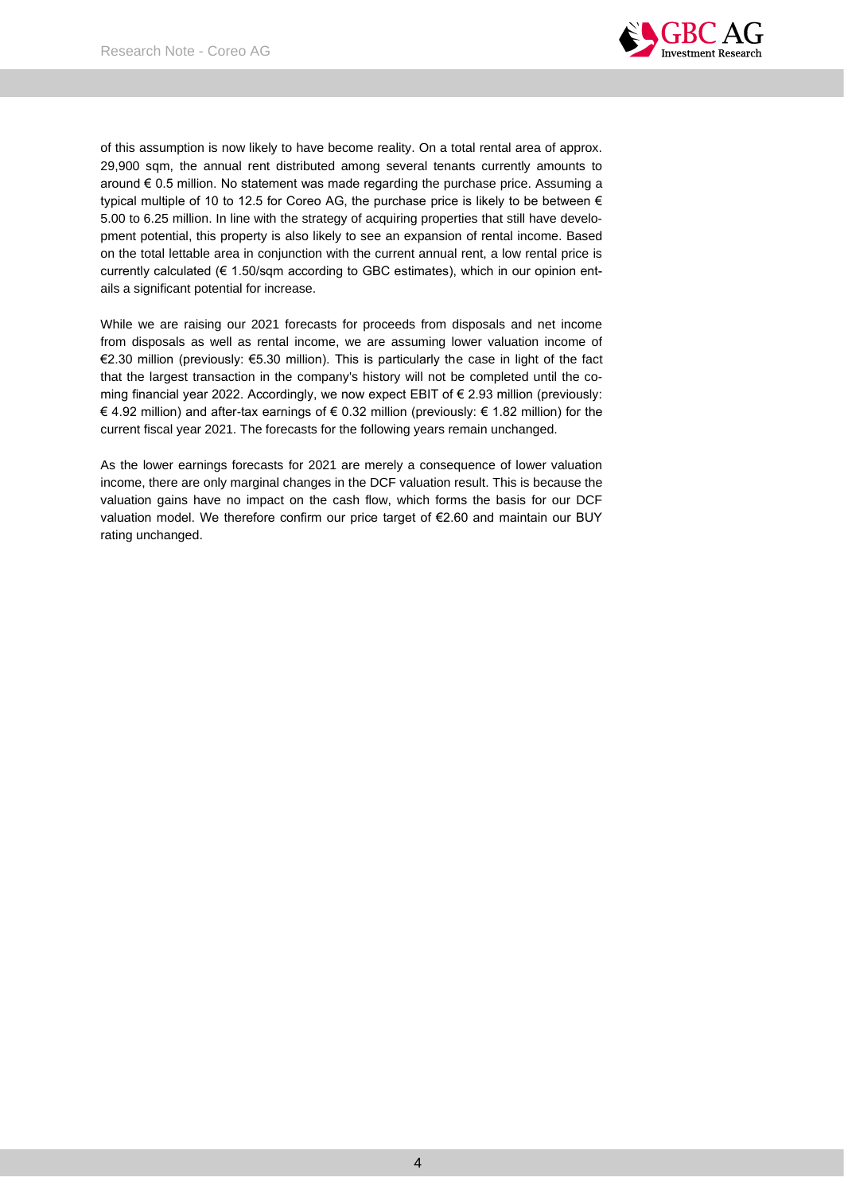

of this assumption is now likely to have become reality. On a total rental area of approx. 29,900 sqm, the annual rent distributed among several tenants currently amounts to around  $\epsilon$  0.5 million. No statement was made regarding the purchase price. Assuming a typical multiple of 10 to 12.5 for Coreo AG, the purchase price is likely to be between  $\epsilon$ 5.00 to 6.25 million. In line with the strategy of acquiring properties that still have development potential, this property is also likely to see an expansion of rental income. Based on the total lettable area in conjunction with the current annual rent, a low rental price is currently calculated (€ 1.50/sqm according to GBC estimates), which in our opinion entails a significant potential for increase.

While we are raising our 2021 forecasts for proceeds from disposals and net income from disposals as well as rental income, we are assuming lower valuation income of €2.30 million (previously: €5.30 million). This is particularly the case in light of the fact that the largest transaction in the company's history will not be completed until the coming financial year 2022. Accordingly, we now expect EBIT of € 2.93 million (previously: € 4.92 million) and after-tax earnings of € 0.32 million (previously: € 1.82 million) for the current fiscal year 2021. The forecasts for the following years remain unchanged.

As the lower earnings forecasts for 2021 are merely a consequence of lower valuation income, there are only marginal changes in the DCF valuation result. This is because the valuation gains have no impact on the cash flow, which forms the basis for our DCF valuation model. We therefore confirm our price target of €2.60 and maintain our BUY rating unchanged.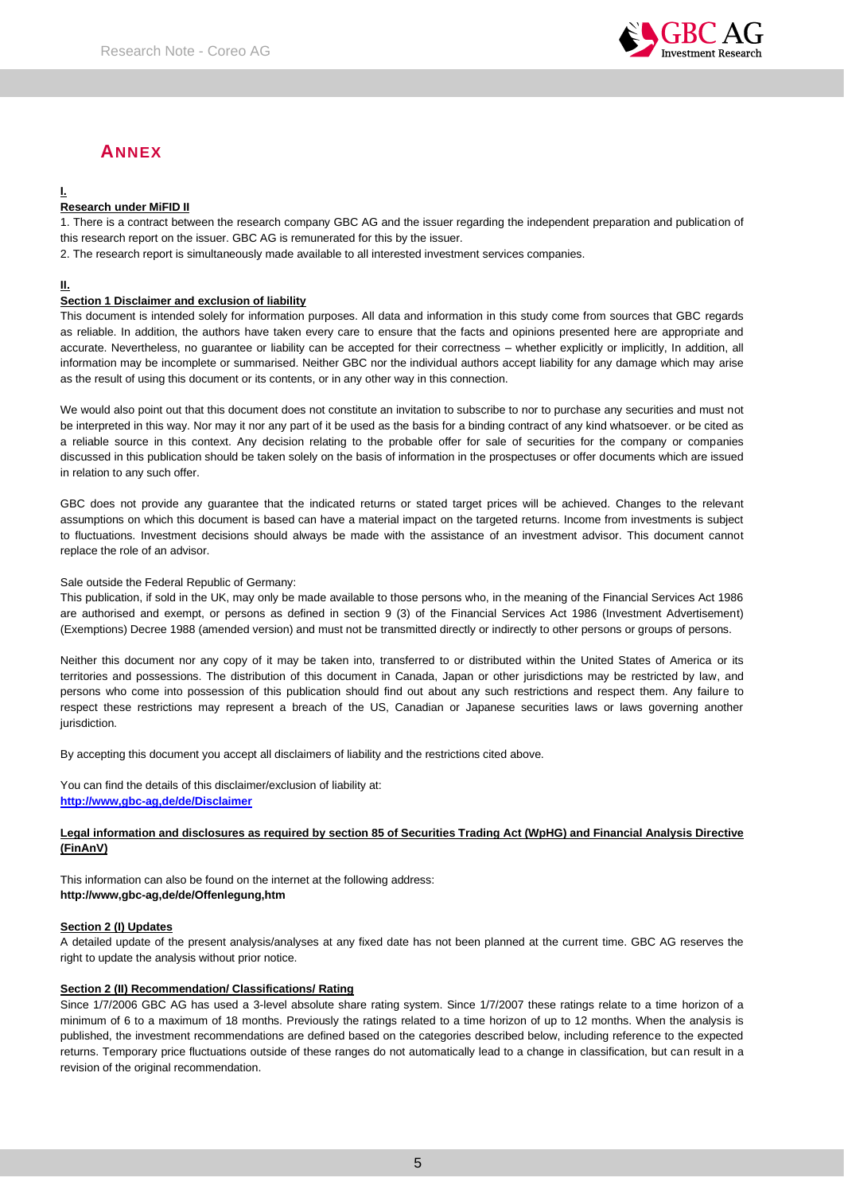

# **ANNEX**

## **I.**

### **Research under MiFID II**

1. There is a contract between the research company GBC AG and the issuer regarding the independent preparation and publication of this research report on the issuer. GBC AG is remunerated for this by the issuer.

2. The research report is simultaneously made available to all interested investment services companies.

#### **II.**

#### **Section 1 Disclaimer and exclusion of liability**

This document is intended solely for information purposes. All data and information in this study come from sources that GBC regards as reliable. In addition, the authors have taken every care to ensure that the facts and opinions presented here are appropriate and accurate. Nevertheless, no guarantee or liability can be accepted for their correctness – whether explicitly or implicitly, In addition, all information may be incomplete or summarised. Neither GBC nor the individual authors accept liability for any damage which may arise as the result of using this document or its contents, or in any other way in this connection.

We would also point out that this document does not constitute an invitation to subscribe to nor to purchase any securities and must not be interpreted in this way. Nor may it nor any part of it be used as the basis for a binding contract of any kind whatsoever. or be cited as a reliable source in this context. Any decision relating to the probable offer for sale of securities for the company or companies discussed in this publication should be taken solely on the basis of information in the prospectuses or offer documents which are issued in relation to any such offer.

GBC does not provide any guarantee that the indicated returns or stated target prices will be achieved. Changes to the relevant assumptions on which this document is based can have a material impact on the targeted returns. Income from investments is subject to fluctuations. Investment decisions should always be made with the assistance of an investment advisor. This document cannot replace the role of an advisor.

#### Sale outside the Federal Republic of Germany:

This publication, if sold in the UK, may only be made available to those persons who, in the meaning of the Financial Services Act 1986 are authorised and exempt, or persons as defined in section 9 (3) of the Financial Services Act 1986 (Investment Advertisement) (Exemptions) Decree 1988 (amended version) and must not be transmitted directly or indirectly to other persons or groups of persons.

Neither this document nor any copy of it may be taken into, transferred to or distributed within the United States of America or its territories and possessions. The distribution of this document in Canada, Japan or other jurisdictions may be restricted by law, and persons who come into possession of this publication should find out about any such restrictions and respect them. Any failure to respect these restrictions may represent a breach of the US, Canadian or Japanese securities laws or laws governing another jurisdiction.

By accepting this document you accept all disclaimers of liability and the restrictions cited above.

You can find the details of this disclaimer/exclusion of liability at: **[http://www,gbc-ag,de/de/Disclaimer](http://www.gbc-ag.de/de/Disclaimer.htm)**

#### **Legal information and disclosures as required by section 85 of Securities Trading Act (WpHG) and Financial Analysis Directive (FinAnV)**

This information can also be found on the internet at the following address: **http://www,gbc-ag,de/de/Offenlegung,htm**

#### **Section 2 (I) Updates**

A detailed update of the present analysis/analyses at any fixed date has not been planned at the current time. GBC AG reserves the right to update the analysis without prior notice.

#### **Section 2 (II) Recommendation/ Classifications/ Rating**

Since 1/7/2006 GBC AG has used a 3-level absolute share rating system. Since 1/7/2007 these ratings relate to a time horizon of a minimum of 6 to a maximum of 18 months. Previously the ratings related to a time horizon of up to 12 months. When the analysis is published, the investment recommendations are defined based on the categories described below, including reference to the expected returns. Temporary price fluctuations outside of these ranges do not automatically lead to a change in classification, but can result in a revision of the original recommendation.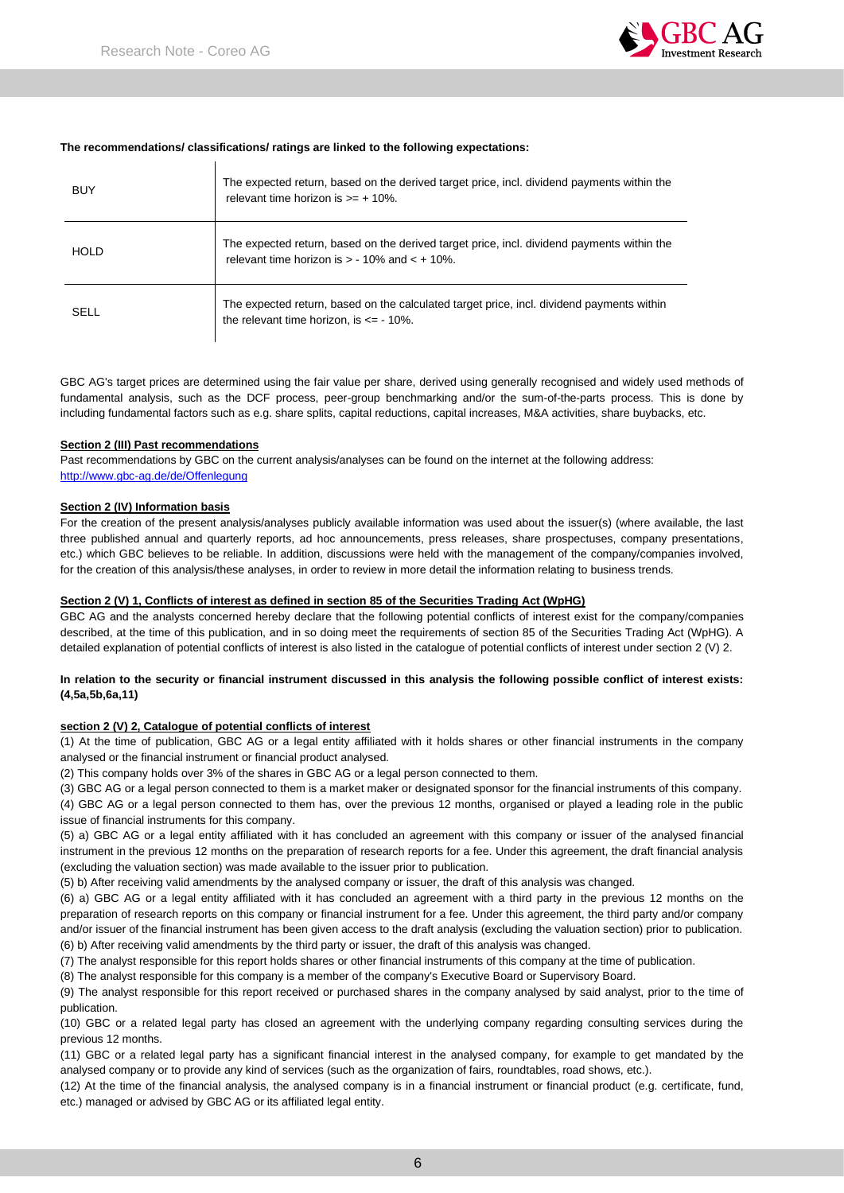

#### **The recommendations/ classifications/ ratings are linked to the following expectations:**

| <b>BUY</b>  | The expected return, based on the derived target price, incl. dividend payments within the<br>relevant time horizon is $>= +10\%$ .              |
|-------------|--------------------------------------------------------------------------------------------------------------------------------------------------|
| <b>HOLD</b> | The expected return, based on the derived target price, incl. dividend payments within the<br>relevant time horizon is $> -10\%$ and $< +10\%$ . |
| SELL        | The expected return, based on the calculated target price, incl. dividend payments within<br>the relevant time horizon, is $\leq$ - 10%.         |

GBC AG's target prices are determined using the fair value per share, derived using generally recognised and widely used methods of fundamental analysis, such as the DCF process, peer-group benchmarking and/or the sum-of-the-parts process. This is done by including fundamental factors such as e.g. share splits, capital reductions, capital increases, M&A activities, share buybacks, etc.

#### **Section 2 (III) Past recommendations**

Past recommendations by GBC on the current analysis/analyses can be found on the internet at the following address: [http://www.gbc-ag.de/de/Offenlegung](http://www.gbc-ag.de/de/Offenlegung.htm)

#### **Section 2 (IV) Information basis**

For the creation of the present analysis/analyses publicly available information was used about the issuer(s) (where available, the last three published annual and quarterly reports, ad hoc announcements, press releases, share prospectuses, company presentations, etc.) which GBC believes to be reliable. In addition, discussions were held with the management of the company/companies involved, for the creation of this analysis/these analyses, in order to review in more detail the information relating to business trends.

#### **Section 2 (V) 1, Conflicts of interest as defined in section 85 of the Securities Trading Act (WpHG)**

GBC AG and the analysts concerned hereby declare that the following potential conflicts of interest exist for the company/companies described, at the time of this publication, and in so doing meet the requirements of section 85 of the Securities Trading Act (WpHG). A detailed explanation of potential conflicts of interest is also listed in the catalogue of potential conflicts of interest under section 2 (V) 2.

#### **In relation to the security or financial instrument discussed in this analysis the following possible conflict of interest exists: (4,5a,5b,6a,11)**

#### **section 2 (V) 2, Catalogue of potential conflicts of interest**

(1) At the time of publication, GBC AG or a legal entity affiliated with it holds shares or other financial instruments in the company analysed or the financial instrument or financial product analysed.

(2) This company holds over 3% of the shares in GBC AG or a legal person connected to them.

(3) GBC AG or a legal person connected to them is a market maker or designated sponsor for the financial instruments of this company.

(4) GBC AG or a legal person connected to them has, over the previous 12 months, organised or played a leading role in the public issue of financial instruments for this company.

(5) a) GBC AG or a legal entity affiliated with it has concluded an agreement with this company or issuer of the analysed financial instrument in the previous 12 months on the preparation of research reports for a fee. Under this agreement, the draft financial analysis (excluding the valuation section) was made available to the issuer prior to publication.

(5) b) After receiving valid amendments by the analysed company or issuer, the draft of this analysis was changed.

(6) a) GBC AG or a legal entity affiliated with it has concluded an agreement with a third party in the previous 12 months on the preparation of research reports on this company or financial instrument for a fee. Under this agreement, the third party and/or company and/or issuer of the financial instrument has been given access to the draft analysis (excluding the valuation section) prior to publication. (6) b) After receiving valid amendments by the third party or issuer, the draft of this analysis was changed.

(7) The analyst responsible for this report holds shares or other financial instruments of this company at the time of publication.

(8) The analyst responsible for this company is a member of the company's Executive Board or Supervisory Board.

(9) The analyst responsible for this report received or purchased shares in the company analysed by said analyst, prior to the time of publication.

(10) GBC or a related legal party has closed an agreement with the underlying company regarding consulting services during the previous 12 months.

(11) GBC or a related legal party has a significant financial interest in the analysed company, for example to get mandated by the analysed company or to provide any kind of services (such as the organization of fairs, roundtables, road shows, etc.).

(12) At the time of the financial analysis, the analysed company is in a financial instrument or financial product (e.g. certificate, fund, etc.) managed or advised by GBC AG or its affiliated legal entity.